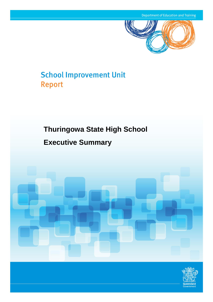

# **School Improvement Unit Report**

## **Thuringowa State High School**

## **Executive Summary**



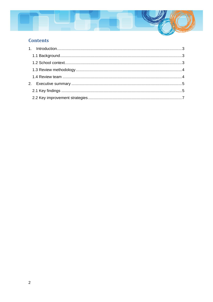

## **Contents**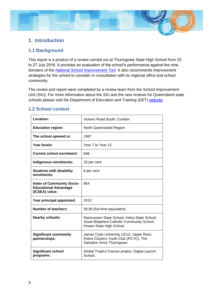## <span id="page-2-0"></span>**1. Introduction**

#### <span id="page-2-1"></span>**1.1 Background**

This report is a product of a review carried out at Thuringowa State High School from 25 to 27 July 2016. It provides an evaluation of the school's performance against the nine domains of the *[National School Improvement Tool](https://oneportal.deta.qld.gov.au/about/PrioritiesandInitiatives/schoolimprovementunit/Documents/national-school-improvement-tool.pdf)*. It also recommends improvement strategies for the school to consider in consultation with its regional office and school community.

The review and report were completed by a review team from the School Improvement Unit (SIU). For more information about the SIU and the new reviews for Queensland state schools please visit the Department of Education and Training (DET) [website.](http://education.qld.gov.au/schools/school-performance-assessment-framework.html)

#### <span id="page-2-2"></span>**1.2 School context**

| <b>Location:</b>                                                                   | Vickers Road South, Condon                                                                                          |
|------------------------------------------------------------------------------------|---------------------------------------------------------------------------------------------------------------------|
| <b>Education region:</b>                                                           | North Queensland Region                                                                                             |
| The school opened in:                                                              | 1987                                                                                                                |
| Year levels:                                                                       | Year 7 to Year 12                                                                                                   |
| <b>Current school enrolment:</b>                                                   | 698                                                                                                                 |
| Indigenous enrolments:                                                             | 33 per cent                                                                                                         |
| <b>Students with disability</b><br>enrolments:                                     | 8 per cent                                                                                                          |
| <b>Index of Community Socio-</b><br><b>Educational Advantage</b><br>(ICSEA) value: | 854                                                                                                                 |
| Year principal appointed:                                                          | 2013                                                                                                                |
| <b>Number of teachers:</b>                                                         | 59.96 (full-time equivalent)                                                                                        |
| <b>Nearby schools:</b>                                                             | Rasmussen State School, Kelso State School,<br>Good Shepherd Catholic Community School,<br>Kirwan State High School |
| <b>Significant community</b><br>partnerships:                                      | James Cook University (JCU), Upper Ross<br>Police Citizens Youth Club (PCYC), The<br>Salvation Army Thuringowa      |
| <b>Significant school</b><br>programs:                                             | Global Tropics Futures project, Digital Launch<br>School.                                                           |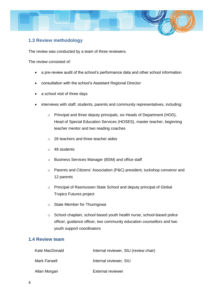

#### <span id="page-3-0"></span>**1.3 Review methodology**

The review was conducted by a team of three reviewers.

The review consisted of:

- a pre-review audit of the school's performance data and other school information
- consultation with the school's Assistant Regional Director
- a school visit of three days
- interviews with staff, students, parents and community representatives, including:
	- o Principal and three deputy principals, six Heads of Department (HOD), Head of Special Education Services (HOSES), master teacher, beginning teacher mentor and two reading coaches
	- o 26 teachers and three teacher aides
	- o 48 students
	- o Business Services Manager (BSM) and office staff
	- o Parents and Citizens' Association (P&C) president, tuckshop convenor and 12 parents
	- o Principal of Rasmussen State School and deputy principal of Global Tropics Futures project
	- o State Member for Thuringowa
	- o School chaplain, school based youth health nurse, school-based police officer, guidance officer, two community education counsellors and two youth support coordinators

#### <span id="page-3-1"></span>**1.4 Review team**

| Kate MacDonald | Internal reviewer, SIU (review chair) |
|----------------|---------------------------------------|
| Mark Farwell   | Internal reviewer, SIU                |
| Allan Morgan   | <b>External reviewer</b>              |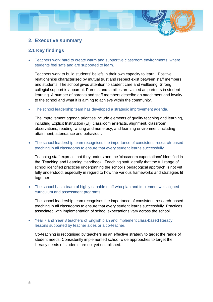### <span id="page-4-0"></span>**2. Executive summary**

#### <span id="page-4-1"></span>**2.1 Key findings**

 Teachers work hard to create warm and supportive classroom environments, where students feel safe and are supported to learn.

Teachers work to build students' beliefs in their own capacity to learn. Positive relationships characterised by mutual trust and respect exist between staff members and students. The school gives attention to student care and wellbeing. Strong collegial support is apparent. Parents and families are valued as partners in student learning. A number of parents and staff members describe an attachment and loyalty to the school and what it is aiming to achieve within the community.

The school leadership team has developed a strategic improvement agenda.

The improvement agenda priorities include elements of quality teaching and learning, including Explicit Instruction (EI), classroom artefacts, alignment, classroom observations, reading, writing and numeracy, and learning environment including attainment, attendance and behaviour.

 The school leadership team recognises the importance of consistent, research-based teaching in all classrooms to ensure that every student learns successfully.

Teaching staff express that they understand the 'classroom expectations' identified in the 'Teaching and Learning Handbook'. Teaching staff identify that the full range of school identified practices underpinning the school's pedagogical approach is not yet fully understood, especially in regard to how the various frameworks and strategies fit together.

 The school has a team of highly capable staff who plan and implement well aligned curriculum and assessment programs.

The school leadership team recognises the importance of consistent, research-based teaching in all classrooms to ensure that every student learns successfully. Practices associated with implementation of school expectations vary across the school.

 Year 7 and Year 8 teachers of English plan and implement class-based literacy lessons supported by teacher aides or a co-teacher.

Co-teaching is recognised by teachers as an effective strategy to target the range of student needs. Consistently implemented school-wide approaches to target the literacy needs of students are not yet established.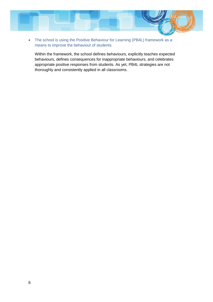

• The school is using the Positive Behaviour for Learning (PB4L) framework as a means to improve the behaviour of students.

Within the framework, the school defines behaviours, explicitly teaches expected behaviours, defines consequences for inappropriate behaviours, and celebrates appropriate positive responses from students. As yet, PB4L strategies are not thoroughly and consistently applied in all classrooms.